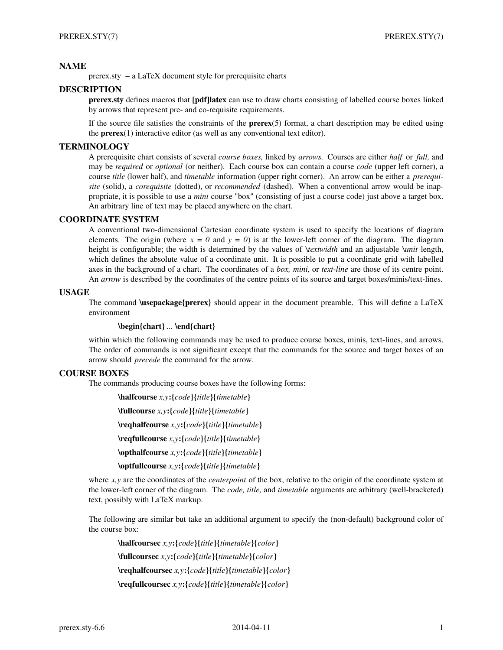# **NAME**

prerex.sty − a LaTeX document style for prerequisite charts

# **DESCRIPTION**

**prerex.sty** defines macros that **[pdf]latex** can use to draw charts consisting of labelled course boxes linked by arrows that represent pre- and co-requisite requirements.

If the source file satisfies the constraints of the **prerex**(5) format, a chart description may be edited using the **prerex**(1) interactive editor (as well as any conventional text editor).

## **TERMINOLOGY**

A prerequisite chart consists of several *course boxes,* linked by *arrows.* Courses are either *half* or *full,* and may be *required* or *optional* (or neither). Each course box can contain a course *code* (upper left corner), a course *title* (lower half), and *timetable* information (upper right corner). An arrow can be either a *prerequisite* (solid), a *corequisite* (dotted), or *recommended* (dashed). When a conventional arrow would be inappropriate, it is possible to use a *mini* course "box" (consisting of just a course code) just above a target box. An arbitrary line of text may be placed anywhere on the chart.

## **COORDINATE SYSTEM**

A conventional two-dimensional Cartesian coordinate system is used to specify the locations of diagram elements. The origin (where  $x = 0$  and  $y = 0$ ) is at the lower-left corner of the diagram. The diagram height is configurable; the width is determined by the values of *\textwidth* and an adjustable *\unit* length, which defines the absolute value of a coordinate unit. It is possible to put a coordinate grid with labelled axes in the background of a chart. The coordinates of a *box, mini,* or *text-line* are those of its centre point. An *arrow* is described by the coordinates of the centre points of its source and target boxes/minis/text-lines.

## **USAGE**

The command **\usepackage{prerex}** should appear in the document preamble. This will define a LaTeX environment

# **\begin{chart}** *...* **\end{chart}**

within which the following commands may be used to produce course boxes, minis, text-lines, and arrows. The order of commands is not significant except that the commands for the source and target boxes of an arrow should *precede* the command for the arrow.

# **COURSE BOXES**

The commands producing course boxes have the following forms:

**\halfcourse** *x,y***:{***code***}{***title***}{***timetable***} \fullcourse** *x,y***:{***code***}{***title***}{***timetable***} \reqhalfcourse** *x,y***:{***code***}{***title***}{***timetable***} \reqfullcourse** *x,y***:{***code***}{***title***}{***timetable***} \opthalfcourse** *x,y***:{***code***}{***title***}{***timetable***} \optfullcourse** *x,y***:{***code***}{***title***}{***timetable***}**

where *x,y* are the coordinates of the *centerpoint* of the box, relative to the origin of the coordinate system at the lower-left corner of the diagram. The *code, title,* and *timetable* arguments are arbitrary (well-bracketed) text, possibly with LaTeX markup.

The following are similar but take an additional argument to specify the (non-default) background color of the course box:

**\halfcoursec** *x,y***:{***code***}{***title***}{***timetable***}{***color***} \fullcoursec** *x,y***:{***code***}{***title***}{***timetable***}{***color***} \reqhalfcoursec** *x,y***:{***code***}{***title***}{***timetable***}{***color***} \reqfullcoursec** *x,y***:{***code***}{***title***}{***timetable***}{***color***}**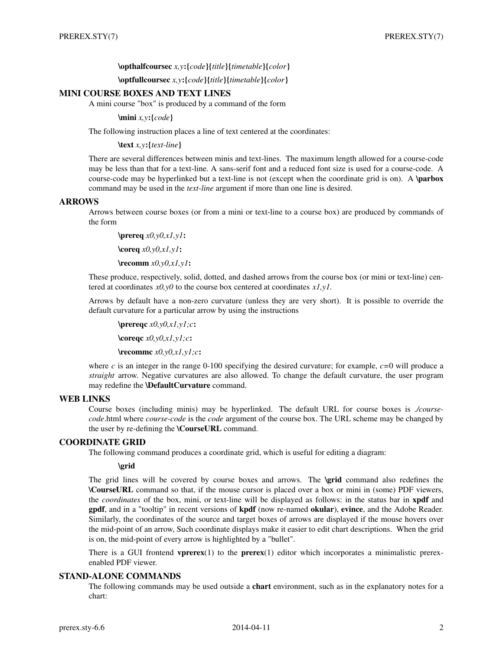## **\opthalfcoursec** *x,y***:{***code***}{***title***}{***timetable***}{***color***}**

**\optfullcoursec** *x,y***:{***code***}{***title***}{***timetable***}{***color***}**

## **MINI COURSE BOXES AND TEXT LINES**

A mini course "box" is produced by a command of the form

**\mini** *x,y***:{***code***}**

The following instruction places a line of text centered at the coordinates:

**\text** *x,y***:{***text-line***}**

There are several differences between minis and text-lines. The maximum length allowed for a course-code may be less than that for a text-line. A sans-serif font and a reduced font size is used for a course-code. A course-code may be hyperlinked but a text-line is not (except when the coordinate grid is on). A **\parbox** command may be used in the *text-line* argument if more than one line is desired.

## **ARROWS**

Arrows between course boxes (or from a mini or text-line to a course box) are produced by commands of the form

**\prereq** *x0,y0,x1,y1***: \coreq** *x0,y0,x1,y1***: \recomm** *x0,y0,x1,y1***:**

These produce, respectively, solid, dotted, and dashed arrows from the course box (or mini or text-line) centered at coordinates *x0,y0* to the course box centered at coordinates *x1,y1.*

Arrows by default have a non-zero curvature (unless they are very short). It is possible to override the default curvature for a particular arrow by using the instructions

**\prereqc** *x0,y0,x1,y1;c***: \coreqc** *x0,y0,x1,y1;c***: \recommc** *x0,y0,x1,y1;c***:**

where  $c$  is an integer in the range 0-100 specifying the desired curvature; for example,  $c=0$  will produce a *straight* arrow. Negative curvatures are also allowed. To change the default curvature, the user program may redefine the **\DefaultCurvature** command.

# **WEB LINKS**

Course boxes (including minis) may be hyperlinked. The default URL for course boxes is *./coursecode*.html where *course-code* is the *code* argument of the course box. The URL scheme may be changed by the user by re-defining the **\CourseURL** command.

# **COORDINATE GRID**

The following command produces a coordinate grid, which is useful for editing a diagram:

**\grid**

The grid lines will be covered by course boxes and arrows. The **\grid** command also redefines the **\CourseURL** command so that, if the mouse cursor is placed over a box or mini in (some) PDF viewers, the *coordinates* of the box, mini, or text-line will be displayed as follows: in the status bar in **xpdf** and **gpdf**, and in a "tooltip" in recent versions of **kpdf** (now re-named **okular**), **evince**, and the Adobe Reader. Similarly, the coordinates of the source and target boxes of arrows are displayed if the mouse hovers over the mid-point of an arrow, Such coordinate displays make it easier to edit chart descriptions. When the grid is on, the mid-point of every arrow is highlighted by a "bullet".

There is a GUI frontend **vprerex**(1) to the **prerex**(1) editor which incorporates a minimalistic prerexenabled PDF viewer.

## **STAND-ALONE COMMANDS**

The following commands may be used outside a **chart** environment, such as in the explanatory notes for a chart: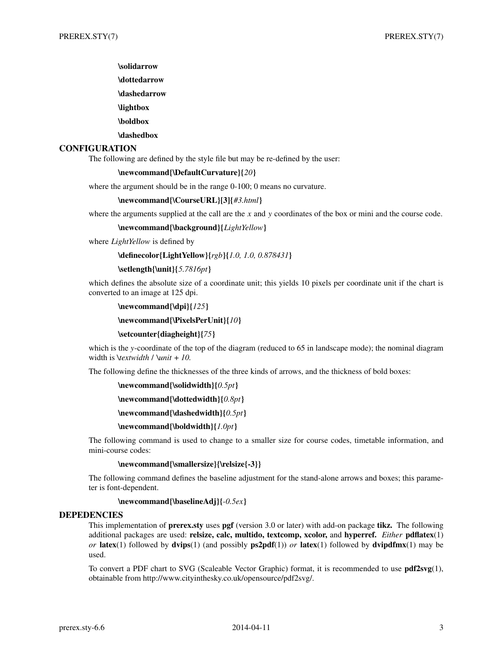- **\solidarrow**
- **\dottedarrow**
- **\dashedarrow**
- **\lightbox**
- **\boldbox**
- **\dashedbox**

# **CONFIGURATION**

The following are defined by the style file but may be re-defined by the user:

#### **\newcommand{\DefaultCurvature}{***20***}**

where the argument should be in the range 0-100; 0 means no curvature.

#### **\newcommand{\CourseURL}[3]{***#3.html***}**

where the arguments supplied at the call are the *x* and *y* coordinates of the box or mini and the course code.

**\newcommand{\background}{***LightYellow***}**

where *LightYellow* is defined by

```
\definecolor{LightYellow}{rgb}{1.0, 1.0, 0.878431}
```
#### **\setlength{\unit}{***5.7816pt***}**

which defines the absolute size of a coordinate unit; this yields 10 pixels per coordinate unit if the chart is converted to an image at 125 dpi.

## **\newcommand{\dpi}{***125***}**

**\newcommand{\PixelsPerUnit}{***10***}**

#### **\setcounter{diagheight}{***75***}**

which is the *y*-coordinate of the top of the diagram (reduced to 65 in landscape mode); the nominal diagram width is *\textwidth* / *\unit* + *10.*

The following define the thicknesses of the three kinds of arrows, and the thickness of bold boxes:

```
\newcommand{\solidwidth}{0.5pt}
```

```
\newcommand{\dottedwidth}{0.8pt}
```
**\newcommand{\dashedwidth}{***0.5pt***}**

## **\newcommand{\boldwidth}{***1.0pt***}**

The following command is used to change to a smaller size for course codes, timetable information, and mini-course codes:

## **\newcommand{\smallersize}{\relsize{-3}}**

The following command defines the baseline adjustment for the stand-alone arrows and boxes; this parameter is font-dependent.

### **\newcommand{\baselineAdj}{***-0.5ex***}**

#### **DEPEDENCIES**

This implementation of **prerex.sty** uses **pgf** (version 3.0 or later) with add-on package **tikz.** The following additional packages are used: **relsize, calc, multido, textcomp, xcolor,** and **hyperref.** *Either* **pdflatex**(1) *or* **latex**(1) followed by **dvips**(1) (and possibly **ps2pdf**(1)) *or* **latex**(1) followed by **dvipdfmx**(1) may be used.

To convert a PDF chart to SVG (Scaleable Vector Graphic) format, it is recommended to use **pdf2svg**(1), obtainable from http://www.cityinthesky.co.uk/opensource/pdf2svg/.